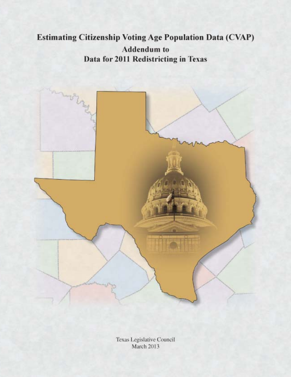# **Estimating Citizenship Voting Age Population Data (CVAP) Addendum** to Data for 2011 Redistricting in Texas



Texas Legislative Council March 2013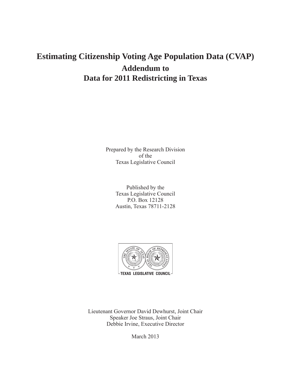## **Estimating Citizenship Voting Age Population Data (CVAP) Addendum to Data for 2011 Redistricting in Texas**

Prepared by the Research Division of the Texas Legislative Council

> Published by the Texas Legislative Council P.O. Box 12128 Austin, Texas 78711-2128



Lieutenant Governor David Dewhurst, Joint Chair Speaker Joe Straus, Joint Chair Debbie Irvine, Executive Director

March 2013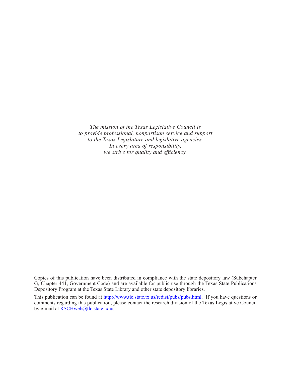*The mission of the Texas Legislative Council is to provide professional, nonpartisan service and support to the Texas Legislature and legislative agencies. In every area of responsibility, we strive for quality and efficiency.* 

Copies of this publication have been distributed in compliance with the state depository law (Subchapter G, Chapter 441, Government Code) and are available for public use through the Texas State Publications Depository Program at the Texas State Library and other state depository libraries.

This publication can be found at http://www.tlc.state.tx.us/redist/pubs/pubs.html. If you have questions or comments regarding this publication, please contact the research division of the Texas Legislative Council by e-mail at RSCHweb@tlc.state.tx.us.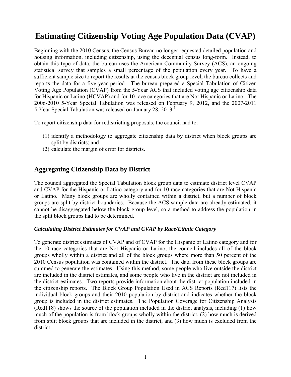## **Estimating Citizenship Voting Age Population Data (CVAP)**

Beginning with the 2010 Census, the Census Bureau no longer requested detailed population and housing information, including citizenship, using the decennial census long-form. Instead, to obtain this type of data, the bureau uses the American Community Survey (ACS), an ongoing statistical survey that samples a small percentage of the population every year. To have a sufficient sample size to report the results at the census block group level, the bureau collects and reports the data for a five-year period. The bureau prepared a Special Tabulation of Citizen Voting Age Population (CVAP) from the 5-Year ACS that included voting age citizenship data for Hispanic or Latino (HCVAP) and for 10 race categories that are Not Hispanic or Latino. The 2006-2010 5-Year Special Tabulation was released on February 9, 2012, and the 2007-2011 5-Year Special Tabulation was released on January 28, 2013.<sup>1</sup>

To report citizenship data for redistricting proposals, the council had to:

- (1) identify a methodology to aggregate citizenship data by district when block groups are split by districts; and
- (2) calculate the margin of error for districts.

### **Aggregating Citizenship Data by District**

The council aggregated the Special Tabulation block group data to estimate district level CVAP and CVAP for the Hispanic or Latino category and for 10 race categories that are Not Hispanic or Latino. Many block groups are wholly contained within a district, but a number of block groups are split by district boundaries. Because the ACS sample data are already estimated, it cannot be disaggregated below the block group level, so a method to address the population in the split block groups had to be determined.

#### *Calculating District Estimates for CVAP and CVAP by Race/Ethnic Category*

To generate district estimates of CVAP and of CVAP for the Hispanic or Latino category and for the 10 race categories that are Not Hispanic or Latino, the council includes all of the block groups wholly within a district and all of the block groups where more than 50 percent of the 2010 Census population was contained within the district. The data from these block groups are summed to generate the estimates. Using this method, some people who live outside the district are included in the district estimates, and some people who live in the district are not included in the district estimates. Two reports provide information about the district population included in the citizenship reports. The Block Group Population Used in ACS Reports (Red117) lists the individual block groups and their 2010 population by district and indicates whether the block group is included in the district estimates. The Population Coverage for Citizenship Analysis (Red118) shows the source of the population included in the district analysis, including (1) how much of the population is from block groups wholly within the district, (2) how much is derived from split block groups that are included in the district, and (3) how much is excluded from the district.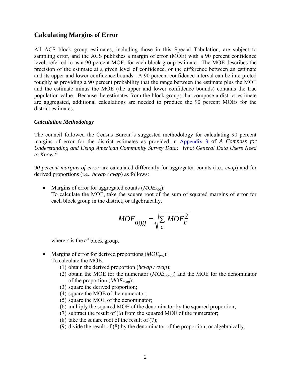### **Calculating Margins of Error**

All ACS block group estimates, including those in this Special Tabulation, are subject to sampling error, and the ACS publishes a margin of error (MOE) with a 90 percent confidence level, referred to as a 90 percent MOE, for each block group estimate. The MOE describes the precision of the estimate at a given level of confidence, or the difference between an estimate and its upper and lower confidence bounds. A 90 percent confidence interval can be interpreted roughly as providing a 90 percent probability that the range between the estimate plus the MOE and the estimate minus the MOE (the upper and lower confidence bounds) contains the true population value. Because the estimates from the block groups that compose a district estimate are aggregated, additional calculations are needed to produce the 90 percent MOEs for the district estimates.

#### *Calculation Methodology*

The council followed the Census Bureau's suggested methodology for calculating 90 percent margins of error for the district estimates as provided in [Appendix 3](http://www.census.gov/acs/www/Downloads/handbooks/ACSGeneralHandbook.pdf) of *A Compass for Understanding and Using American Community Survey Data: What General Data Users Need to Know*. 2

*90 percent margins of error* are calculated differently for aggregated counts (i.e., *cvap*) and for derived proportions (i.e., *hcvap / cvap*) as follows:

• Margins of error for aggregated counts (*MOEagg*): To calculate the MOE, take the square root of the sum of squared margins of error for each block group in the district; or algebraically,

$$
MOE_{agg} = \sqrt{\sum_{c} MOE_{c}^{2}}
$$

where *c* is the  $c^{\text{th}}$  block group.

- Margins of error for derived proportions (*MOE<sub>pro</sub>*): To calculate the MOE,
	- (1) obtain the derived proportion (*hcvap / cvap*);
	- (2) obtain the MOE for the numerator (*MOEhcvap*) and the MOE for the denominator of the proportion (*MOEcvap*);
	- (3) square the derived proportion;
	- (4) square the MOE of the numerator;
	- (5) square the MOE of the denominator;
	- (6) multiply the squared MOE of the denominator by the squared proportion;
	- (7) subtract the result of (6) from the squared MOE of the numerator;
	- (8) take the square root of the result of  $(7)$ ;
	- (9) divide the result of (8) by the denominator of the proportion; or algebraically,